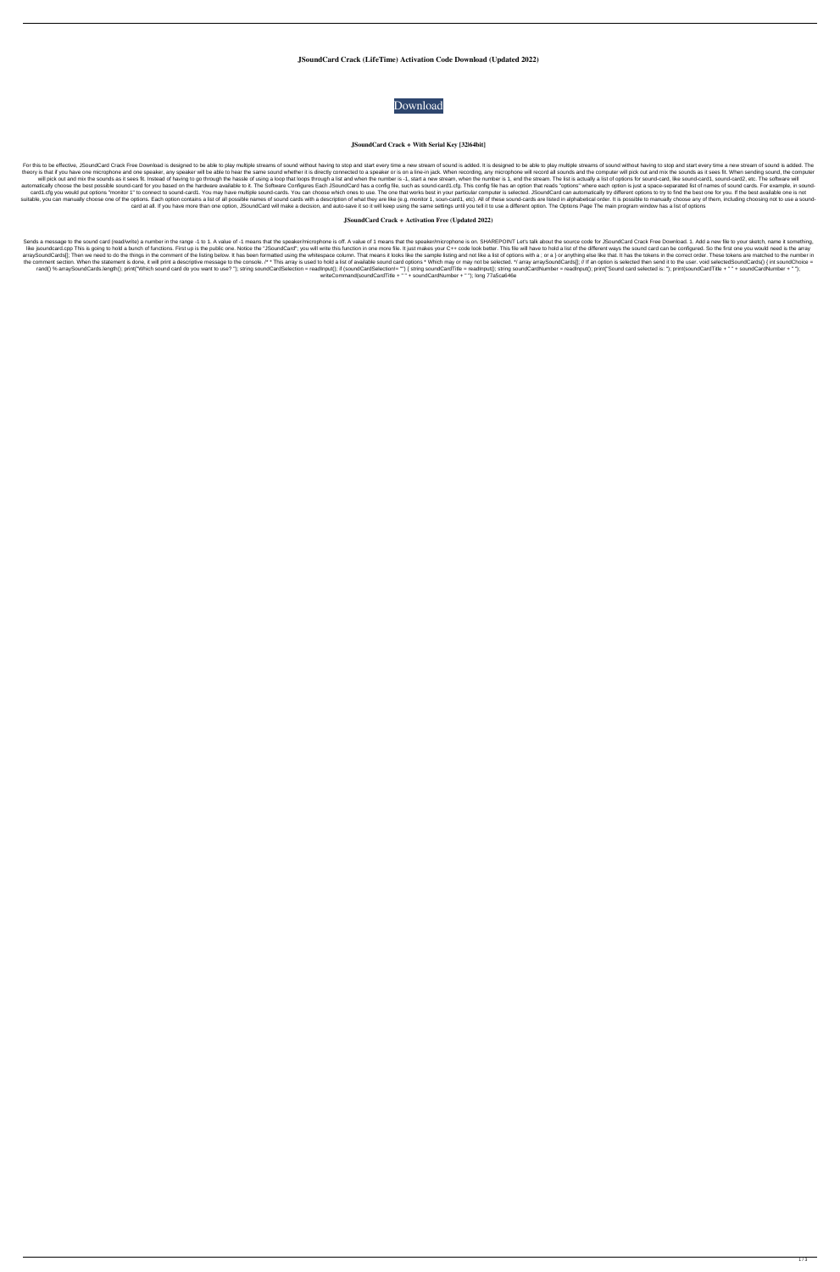**JSoundCard Crack (LifeTime) Activation Code Download (Updated 2022)**



**JSoundCard Crack + With Serial Key [32|64bit]**

For this to be effective, JSoundCard Crack Free Download is designed to be able to play multiple streams of sound without having to stop and start every time a new stream of sound is designed to be able to play multiple st theory is that if you have one microphone and one speaker, any speaker will be able to hear the same sound whether it is directly connected to a speaker or is on a line-in jack. When recording, any microphone will record a will pick out and mix the sounds as it sees fit. Instead of having to go through the hassle of using a loop that loops through a list and when the number is -1, start a new stream, when the number is 1, end the stream. The automatically choose the best possible sound-card for you based on the hardware available to it. The Software Configures Each JSoundCard has a config file, such as sound-card1.cfg. This config file has an option that reads card1.cfg you would put options "monitor 1" to connect to sound-card1. You may have multiple sound-cards. You can choose which ones to use. The one that works best in your particular computer is selected. JSoundCard can au suitable, you can manually choose one of the options. Each option contains a list of all possible names of sound cards with a description of what they are like (e.g. monitor 1, soun-card1, etc). All of these sound-cards ar card at all. If you have more than one option, JSoundCard will make a decision, and auto-save it so it will keep using the same settings until you tell it to use a different option. The Options Page The main program window

Sends a message to the sound card (read/write) a number in the range -1 to 1. A value of -1 means that the speaker/microphone is off. A value of 1 means that the speaker/microphone is on. SHAREPOINT Let's talk about the so like jsoundcard.cpp This is going to hold a bunch of functions. First up is the public one. Notice the "JSoundCard"; you will write this function in one more file. It just makes your C++ code look better. This file will ha arraySoundCards[]; Then we need to do the things in the comment of the listing below. It has been formatted using the whitespace column. That means it looks like the sample listing and not like a list of options with a; or the comment section. When the statement is done, it will print a descriptive message to the console. /\* \* This array is used to hold a list of available sound card options \* Which may or may not be selected. \*/ array array rand() % arraySoundCards.length(); print("Which sound card do you want to use? "); string soundCardSelection = readInput(); if (soundCardSelection!= "") { string soundCardTitle = readInput(); string soundCardNumber = readI writeCommand(soundCardTitle + " " + soundCardNumber + " "); long 77a5ca646e

**JSoundCard Crack + Activation Free (Updated 2022)**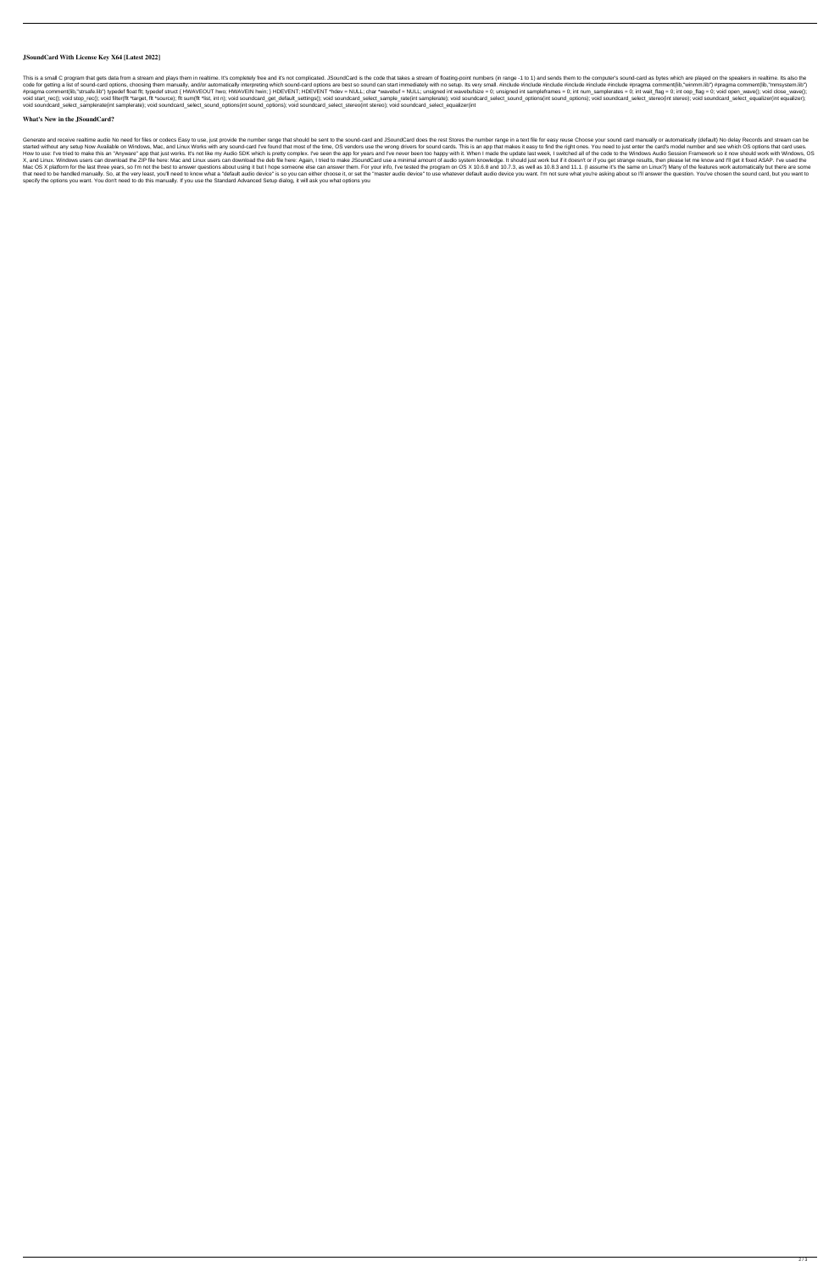## **JSoundCard With License Key X64 [Latest 2022]**

This is a small C program that gets data from a stream and plays them in realtime. It's completely free and it's not complicated. JSoundCard is the code that takes a stream of floating-point numbers (in range -1 to 1) and code for getting a list of sound-card options, choosing them manually, and/or automatically interpreting which sound-card options are best so sound can start immediately with no setup. Its very small. #include #include #in #pragma comment(lib,"strsafe.lib") typedef float flt; typedef struct { HWAVEOUT hwo; HWAVEIN hwin; } HDEVENT; HDEVENT \*hdev = NULL; char \*wavebuf = NULL; unsigned int wavebufsize = 0; unsigned int sampleframes = 0; int num void start\_rec(); void stop\_rec(); void filter(flt \*target, flt \*source); flt sum(flt \*list, int n); void soundcard\_get\_default\_settings(); void soundcard\_select\_sample\_rate(int samplerate); void soundcard\_select\_sound\_opt void soundcard\_select\_samplerate(int samplerate); void soundcard\_select\_sound\_options(int sound\_options); void soundcard\_select\_stereo(int stereo); void soundcard\_select\_equalizer(int

## **What's New in the JSoundCard?**

Generate and receive realtime audio No need for files or codecs Easy to use, just provide the number range that should be sent to the sound-card and JSoundCard does the rest Stores the number range in a text file for easy started without any setup Now Available on Windows, Mac, and Linux Works with any sound-card I've found that most of the time, OS vendors use the wrong drivers for sound cards. This is an app that makes it easy to find the How to use: I've tried to make this an "Anyware" app that just works. It's not like my Audio SDK which is pretty complex. I've seen the app for years and I've never been too happy with it. When I made the update last week, X, and Linux. Windows users can download the ZIP file here: Mac and Linux users can download the deb file here: Mac and Linux users can download the deb file here: Again, I tried to make JSoundCard use a minimal amount of Mac OS X platform for the last three years, so I'm not the best to answer questions about using it but I hope someone else can answer them. For your info, I've tested the program on OS X 10.6.8 and 10.7.3, as well as 10.8. that need to be handled manually. So, at the very least, you'll need to know what a "default audio device" is so you can either choose it, or set the "master audio device" to use whatever default audio device you want. I'm specify the options you want. You don't need to do this manually. If you use the Standard Advanced Setup dialog, it will ask you what options you